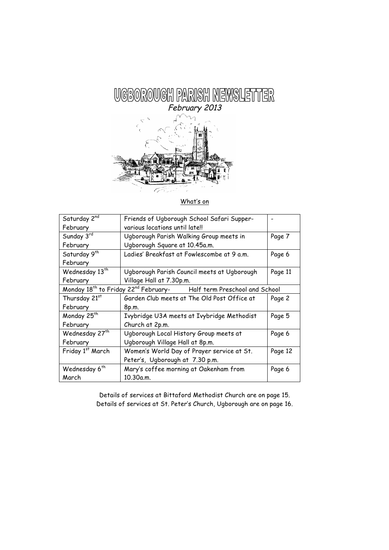

## What's on

| Saturday 2nd                                                                                   | Friends of Ugborough School Safari Supper-  |         |  |
|------------------------------------------------------------------------------------------------|---------------------------------------------|---------|--|
| February                                                                                       | various locations until late!!              |         |  |
| Sunday 3rd                                                                                     | Ugborough Parish Walking Group meets in     | Page 7  |  |
| February                                                                                       | Ugborough Square at 10.45a.m.               |         |  |
| Saturday 9 <sup>th</sup>                                                                       | Ladies' Breakfast at Fowlescombe at 9 a.m.  | Page 6  |  |
| February                                                                                       |                                             |         |  |
| Wednesday 13 <sup>th</sup>                                                                     | Ugborough Parish Council meets at Ugborough | Page 11 |  |
| February                                                                                       | Village Hall at 7.30p.m.                    |         |  |
| Monday 18 <sup>th</sup> to Friday 22 <sup>nd</sup> February-<br>Half term Preschool and School |                                             |         |  |
| Thursday 21st                                                                                  | Garden Club meets at The Old Post Office at | Page 2  |  |
| February                                                                                       | 8p.m.                                       |         |  |
| Monday 25 <sup>th</sup>                                                                        | Ivybridge U3A meets at Ivybridge Methodist  | Page 5  |  |
| February                                                                                       | Church at 2p.m.                             |         |  |
| Wednesday 27 <sup>th</sup>                                                                     | Ugborough Local History Group meets at      | Page 6  |  |
| February                                                                                       | Ugborough Village Hall at 8p.m.             |         |  |
| Friday 1st March                                                                               | Women's World Day of Prayer service at St.  | Page 12 |  |
|                                                                                                | Peter's, Ugborough at 7.30 p.m.             |         |  |
| Wednesday 6 <sup>th</sup>                                                                      | Mary's coffee morning at Oakenham from      | Page 6  |  |
| March                                                                                          | 10.30a.m.                                   |         |  |

Details of services at Bittaford Methodist Church are on page 15. Details of services at St. Peter's Church, Ugborough are on page 16.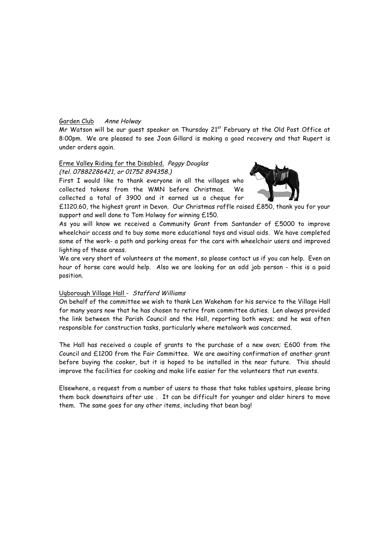## Garden Club Anne Holway

Mr Watson will be our quest speaker on Thursday 21<sup>st</sup> February at the Old Post Office at 8:00pm. We are pleased to see Joan Gillard is making a good recovery and that Rupert is under orders again.

#### Erme Valley Riding for the Disabled. Peggy Douglas (tel. 07882286421, or 01752 894358.)

First I would like to thank everyone in all the villages who collected tokens from the WMN before Christmas. We collected a total of 3900 and it earned us a cheque for



£1120.60, the highest grant in Devon. Our Christmas raffle raised £850, thank you for your support and well done to Tom Holway for winning £150.

As you will know we received a Community Grant from Santander of £5000 to improve wheelchair access and to buy some more educational toys and visual aids. We have completed some of the work- a path and parking areas for the cars with wheelchair users and improved lighting of these areas.

We are very short of volunteers at the moment, so please contact us if you can help. Even an hour of horse care would help. Also we are looking for an odd job person - this is a paid position.

#### Ugborough Village Hall - Stafford Williams

On behalf of the committee we wish to thank Len Wakeham for his service to the Village Hall for many years now that he has chosen to retire from committee duties. Len always provided the link between the Parish Council and the Hall, reporting both ways; and he was often responsible for construction tasks, particularly where metalwork was concerned.

The Hall has received a couple of grants to the purchase of a new oven; £600 from the Council and £1200 from the Fair Committee. We are awaiting confirmation of another grant before buying the cooker, but it is hoped to be installed in the near future. This should improve the facilities for cooking and make life easier for the volunteers that run events.

Elsewhere, a request from a number of users to those that take tables upstairs, please bring them back downstairs after use . It can be difficult for younger and older hirers to move them. The same goes for any other items, including that bean bag!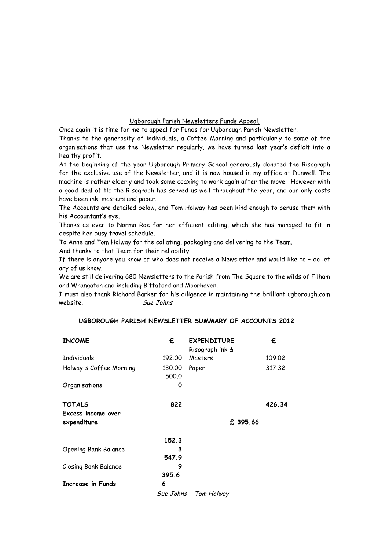#### Ugborough Parish Newsletters Funds Appeal.

Once again it is time for me to appeal for Funds for Ugborough Parish Newsletter.

Thanks to the generosity of individuals, a Coffee Morning and particularly to some of the organisations that use the Newsletter regularly, we have turned last year's deficit into a healthy profit.

At the beginning of the year Ugborough Primary School generously donated the Risograph for the exclusive use of the Newsletter, and it is now housed in my office at Dunwell. The machine is rather elderly and took some coaxing to work again after the move. However with a good deal of tlc the Risograph has served us well throughout the year, and our only costs have been ink, masters and paper.

The Accounts are detailed below, and Tom Holway has been kind enough to peruse them with his Accountant's eye.

Thanks as ever to Norma Roe for her efficient editing, which she has managed to fit in despite her busy travel schedule.

To Anne and Tom Holway for the collating, packaging and delivering to the Team.

And thanks to that Team for their reliability.

If there is anyone you know of who does not receive a Newsletter and would like to – do let any of us know.

We are still delivering 680 Newsletters to the Parish from The Square to the wilds of Filham and Wrangaton and including Bittaford and Moorhaven.

I must also thank Richard Barker for his diligence in maintaining the brilliant ugborough.com website. Sue Johns

## **UGBOROUGH PARISH NEWSLETTER SUMMARY OF ACCOUNTS 2012**

| <b>INCOME</b>               | £               | <b>EXPENDITURE</b><br>Risograph ink & | £        |
|-----------------------------|-----------------|---------------------------------------|----------|
| <b>Individuals</b>          | 192.00          | Masters                               | 109.02   |
| Holway's Coffee Morning     | 130.00<br>500.0 | Paper                                 | 317.32   |
| Organisations               | O               |                                       |          |
| <b>TOTALS</b>               | 822             |                                       | 426.34   |
| Excess income over          |                 |                                       |          |
| expenditure                 |                 |                                       | £ 395.66 |
|                             | 152.3           |                                       |          |
| <b>Opening Bank Balance</b> | 3               |                                       |          |
|                             | 547.9           |                                       |          |
| Closing Bank Balance        | 9               |                                       |          |
|                             | 395.6           |                                       |          |
| <b>Increase in Funds</b>    | 6               |                                       |          |
|                             | Sue Johns       | Tom Holway                            |          |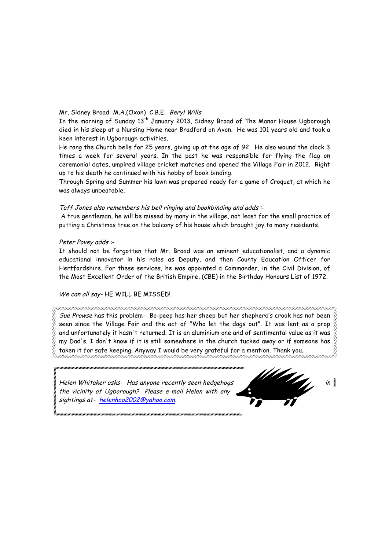# Mr. Sidney Broad M.A.(Oxon) C.B.E. Beryl Wills

In the morning of Sunday 13<sup>th</sup> January 2013, Sidney Broad of The Manor House Ugborough died in his sleep at a Nursing Home near Bradford on Avon. He was 101 years old and took a keen interest in Ugborough activities.

He rang the Church bells for 25 years, giving up at the age of 92. He also wound the clock 3 times a week for several years. In the past he was responsible for flying the flag on ceremonial dates, umpired village cricket matches and opened the Village Fair in 2012. Right up to his death he continued with his hobby of book binding.

Through Spring and Summer his lawn was prepared ready for a game of Croquet, at which he was always unbeatable.

# Taff Jones also remembers his bell ringing and bookbinding and adds :-

A true gentleman, he will be missed by many in the village, not least for the small practice of putting a Christmas tree on the balcony of his house which brought joy to many residents.

# Peter Povey adds :-

It should not be forgotten that Mr. Broad was an eminent educationalist, and a dynamic educational innovator in his roles as Deputy, and then County Education Officer for Hertfordshire. For these services, he was appointed a Commander, in the Civil Division, of the Most Excellent Order of the British Empire, (CBE) in the Birthday Honours List of 1972.

# We can all say-HE WILL BE MISSED!

Sue Prowse has this problem- Bo-peep has her sheep but her shepherd's crook has not been seen since the Village Fair and the act of "Who let the dogs out". It was lent as a prop  $\%$ and unfortunately it hasn't returned. It is an aluminium one and of sentimental value as it was  $\%$ my Dad's. I don't know if it is still somewhere in the church tucked away or if someone has  $\overset{\text{\tiny 1}}{\otimes}$ taken it for safe keeping. Anyway I would be very grateful for a mention. Thank you.

Helen Whitaker asks- Has anyone recently seen hedgehogs **in the contract of the contract of the contract of the contract of the contract of the contract of the contract of the contract of the contract of the contract of th** the vicinity of Ugborough? Please e mail Helen with any sightings at- helenhoo2002@yahoo.com.

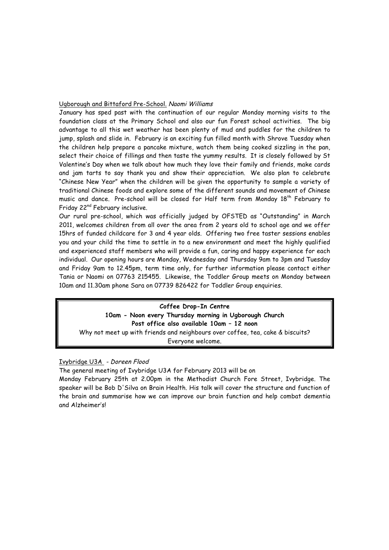#### Ugborough and Bittaford Pre-School. Naomi Williams

January has sped past with the continuation of our regular Monday morning visits to the foundation class at the Primary School and also our fun Forest school activities. The big advantage to all this wet weather has been plenty of mud and puddles for the children to jump, splash and slide in. February is an exciting fun filled month with Shrove Tuesday when the children help prepare a pancake mixture, watch them being cooked sizzling in the pan, select their choice of fillings and then taste the yummy results. It is closely followed by St Valentine's Day when we talk about how much they love their family and friends, make cards and jam tarts to say thank you and show their appreciation. We also plan to celebrate "Chinese New Year" when the children will be given the opportunity to sample a variety of traditional Chinese foods and explore some of the different sounds and movement of Chinese music and dance. Pre-school will be closed for Half term from Monday 18<sup>th</sup> February to Friday 22<sup>nd</sup> February inclusive.

Our rural pre-school, which was officially judged by OFSTED as "Outstanding" in March 2011, welcomes children from all over the area from 2 years old to school age and we offer 15hrs of funded childcare for 3 and 4 year olds. Offering two free taster sessions enables you and your child the time to settle in to a new environment and meet the highly qualified and experienced staff members who will provide a fun, caring and happy experience for each individual. Our opening hours are Monday, Wednesday and Thursday 9am to 3pm and Tuesday and Friday 9am to 12.45pm, term time only, for further information please contact either Tania or Naomi on 07763 215455. Likewise, the Toddler Group meets on Monday between 10am and 11.30am phone Sara on 07739 826422 for Toddler Group enquiries.

**Coffee Drop-In Centre 10am - Noon every Thursday morning in Ugborough Church Post office also available 10am – 12 noon** Why not meet up with friends and neighbours over coffee, tea, cake & biscuits? Everyone welcome.

# Ivybridge U3A - Doreen Flood

The general meeting of Ivybridge U3A for February 2013 will be on

Monday February 25th at 2.00pm in the Methodist Church Fore Street, Ivybridge. The speaker will be Bob D'Silva on Brain Health. His talk will cover the structure and function of the brain and summarise how we can improve our brain function and help combat dementia and Alzheimer's!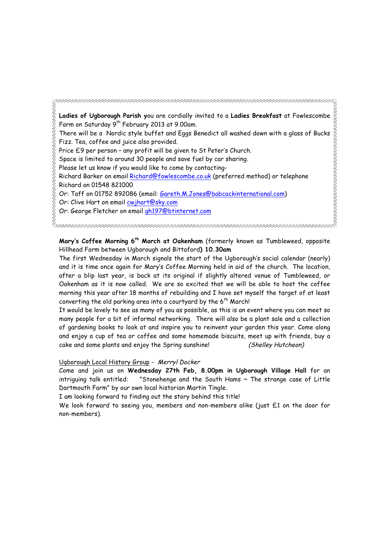REAR CONNECT CONNECT CONNECT CONNECT CONNECT CONNECT CONNECT CONNECT CONNECT CONNECT CONNECT CONNECT. **Ladies of Ugborough Parish y**ou are cordially invited to a **Ladies Breakfast** at Fowlescombe Farm on Saturday 9th February 2013 at 9.00am. There will be a Nordic style buffet and Eggs Benedict all washed down with a glass of Bucks Fizz. Tea, coffee and juice also provided. Price £9 per person – any profit will be given to St Peter's Church. Space is limited to around 30 people and save fuel by car sharing. Please let us know if you would like to come by contacting-Richard Barker on email Richard@fowlescombe.co.uk (preferred method) or telephone Richard on 01548 821000 Or: Taff on 01752 892086 (email: Gareth.M.Jones@babcockinternational.com) Or: Clive Hart on email cwjhart@sky.com Or: George Fletcher on email gh197@btinternet.com

**Mary's Coffee Morning 6th March at Oakenham** (formerly known as Tumbleweed, opposite Hillhead Farm between Ugborough and Bittaford**) 10.30am**

The first Wednesday in March signals the start of the Ugborough's social calendar (nearly) and it is time once again for Mary's Coffee Morning held in aid of the church. The location, after a blip last year, is back at its original if slightly altered venue of Tumbleweed, or Oakenham as it is now called. We are so excited that we will be able to host the coffee morning this year after 18 months of rebuilding and I have set myself the target of at least converting the old parking area into a courtyard by the  $6<sup>th</sup>$  March!

It would be lovely to see as many of you as possible, as this is an event where you can meet so many people for a bit of informal networking. There will also be a plant sale and a collection of gardening books to look at and inspire you to reinvent your garden this year. Come along and enjoy a cup of tea or coffee and some homemade biscuits, meet up with friends, buy a cake and some plants and enjoy the Spring sunshine! (Shelley Hutcheon)

Ugborough Local History Group - Merryl Docker

Come and join us on **Wednesday 27th Feb, 8.00pm in Ugborough Village Hall** for an intriguing talk entitled: "Stonehenge and the South Hams ~ The strange case of Little Dartmouth Farm" by our own local historian Martin Tingle.

I am looking forward to finding out the story behind this title!

We look forward to seeing you, members and non-members alike (just £1 on the door for non-members).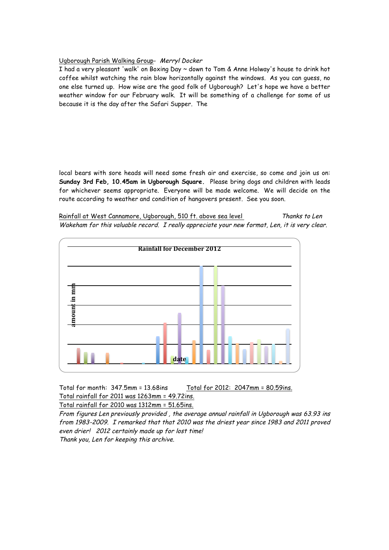# Ugborough Parish Walking Group- Merryl Docker

I had a very pleasant 'walk' on Boxing Day ~ down to Tom & Anne Holway's house to drink hot coffee whilst watching the rain blow horizontally against the windows. As you can guess, no one else turned up. How wise are the good folk of Ugborough? Let's hope we have a better weather window for our February walk. It will be something of a challenge for some of us because it is the day after the Safari Supper. The

local bears with sore heads will need some fresh air and exercise, so come and join us on: **Sunday 3rd Feb, 10.45am in Ugborough Square.** Please bring dogs and children with leads for whichever seems appropriate. Everyone will be made welcome. We will decide on the route according to weather and condition of hangovers present. See you soon.

Rainfall at West Cannamore, Ugborough, 510 ft. above sea level Thanks to Len Wakeham for this valuable record. I really appreciate your new format, Len, it is very clear.



Total for month: 347.5mm = 13.68ins Total for 2012: 2047mm = 80.59ins. Total rainfall for 2011 was 1263mm = 49.72ins.

Total rainfall for 2010 was 1312mm = 51.65ins.

From figures Len previously provided , the average annual rainfall in Ugborough was 63.93 ins from 1983-2009. I remarked that that 2010 was the driest year since 1983 and 2011 proved even drier! 2012 certainly made up for lost time!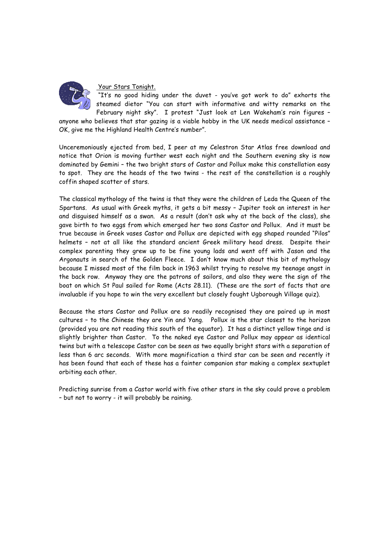

## Your Stars Tonight.

"It's no good hiding under the duvet - you've got work to do" exhorts the steamed dietor "You can start with informative and witty remarks on the February night sky". I protest "Just look at Len Wakeham's rain figures –

anyone who believes that star gazing is a viable hobby in the UK needs medical assistance – OK, give me the Highland Health Centre's number".

Unceremoniously ejected from bed, I peer at my Celestron Star Atlas free download and notice that Orion is moving further west each night and the Southern evening sky is now dominated by Gemini – the two bright stars of Castor and Pollux make this constellation easy to spot. They are the heads of the two twins - the rest of the constellation is a roughly coffin shaped scatter of stars.

The classical mythology of the twins is that they were the children of Leda the Queen of the Spartans. As usual with Greek myths, it gets a bit messy – Jupiter took an interest in her and disguised himself as a swan. As a result (don't ask why at the back of the class), she gave birth to two eggs from which emerged her two sons Castor and Pollux. And it must be true because in Greek vases Castor and Pollux are depicted with egg shaped rounded "Pilos" helmets – not at all like the standard ancient Greek military head dress. Despite their complex parenting they grew up to be fine young lads and went off with Jason and the Argonauts in search of the Golden Fleece. I don't know much about this bit of mythology because I missed most of the film back in 1963 whilst trying to resolve my teenage angst in the back row. Anyway they are the patrons of sailors, and also they were the sign of the boat on which St Paul sailed for Rome (Acts 28.11). (These are the sort of facts that are invaluable if you hope to win the very excellent but closely fought Ugborough Village quiz).

Because the stars Castor and Pollux are so readily recognised they are paired up in most cultures – to the Chinese they are Yin and Yang. Pollux is the star closest to the horizon (provided you are not reading this south of the equator). It has a distinct yellow tinge and is slightly brighter than Castor. To the naked eye Castor and Pollux may appear as identical twins but with a telescope Castor can be seen as two equally bright stars with a separation of less than 6 arc seconds. With more magnification a third star can be seen and recently it has been found that each of these has a fainter companion star making a complex sextuplet orbiting each other.

Predicting sunrise from a Castor world with five other stars in the sky could prove a problem – but not to worry - it will probably be raining.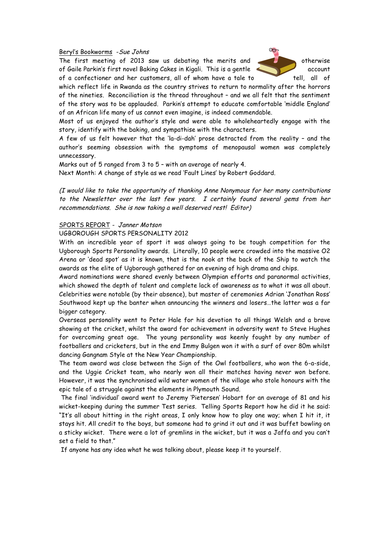#### Beryl's Bookworms -Sue Johns

The first meeting of 2013 saw us debating the merits and of Gaile Parkin's first novel Baking Cakes in Kigali. This is a gentle account of a confectioner and her customers, all of whom have a tale to tell, all of



which reflect life in Rwanda as the country strives to return to normality after the horrors of the nineties. Reconciliation is the thread throughout – and we all felt that the sentiment of the story was to be applauded. Parkin's attempt to educate comfortable 'middle England' of an African life many of us cannot even imagine, is indeed commendable.

Most of us enjoyed the author's style and were able to wholeheartedly engage with the story, identify with the baking, and sympathise with the characters.

A few of us felt however that the 'la-di-dah' prose detracted from the reality – and the author's seeming obsession with the symptoms of menopausal women was completely unnecessary.

Marks out of 5 ranged from 3 to 5 – with an average of nearly 4.

Next Month: A change of style as we read 'Fault Lines' by Robert Goddard.

(I would like to take the opportunity of thanking Anne Nonymous for her many contributions to the Newsletter over the last few years. I certainly found several gems from her recommendations. She is now taking a well deserved rest! Editor)

#### SPORTS REPORT - Janner Motson

#### UGBOROUGH SPORTS PERSONALITY 2012

With an incredible year of sport it was always going to be tough competition for the Ugborough Sports Personality awards. Literally, 10 people were crowded into the massive O2 Arena or 'dead spot' as it is known, that is the nook at the back of the Ship to watch the awards as the elite of Ugborough gathered for an evening of high drama and chips.

Award nominations were shared evenly between Olympian efforts and paranormal activities, which showed the depth of talent and complete lack of awareness as to what it was all about. Celebrities were notable (by their absence), but master of ceremonies Adrian 'Jonathan Ross' Southwood kept up the banter when announcing the winners and losers…the latter was a far bigger category.

Overseas personality went to Peter Hale for his devotion to all things Welsh and a brave showing at the cricket, whilst the award for achievement in adversity went to Steve Hughes for overcoming great age. The young personality was keenly fought by any number of footballers and cricketers, but in the end Immy Bulgen won it with a surf of over 80m whilst dancing Gangnam Style at the New Year Championship.

The team award was close between the Sign of the Owl footballers, who won the 6-a-side, and the Uggie Cricket team, who nearly won all their matches having never won before. However, it was the synchronised wild water women of the village who stole honours with the epic tale of a struggle against the elements in Plymouth Sound.

The final 'individual' award went to Jeremy 'Pietersen' Hobart for an average of 81 and his wicket-keeping during the summer Test series. Telling Sports Report how he did it he said: "It's all about hitting in the right areas, I only know how to play one way; when I hit it, it stays hit. All credit to the boys, but someone had to grind it out and it was buffet bowling on a sticky wicket. There were a lot of gremlins in the wicket, but it was a Jaffa and you can't set a field to that."

If anyone has any idea what he was talking about, please keep it to yourself.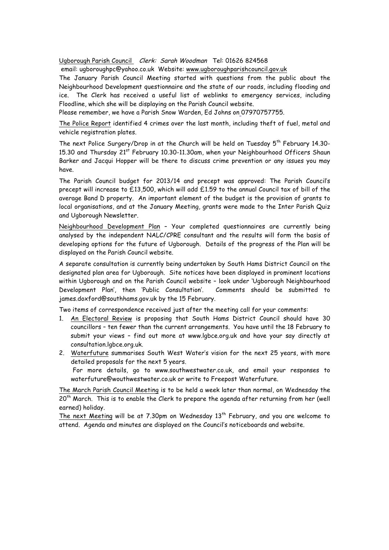Ugborough Parish Council Clerk: Sarah Woodman Tel: 01626 824568

email: ugboroughpc@yahoo.co.uk Website: www.ugboroughparishcouncil.gov.uk

The January Parish Council Meeting started with questions from the public about the Neighbourhood Development questionnaire and the state of our roads, including flooding and ice. The Clerk has received a useful list of weblinks to emergency services, including Floodline, which she will be displaying on the Parish Council website.

Please remember, we have a Parish Snow Warden, Ed Johns on 07970757755.

The Police Report identified 4 crimes over the last month, including theft of fuel, metal and vehicle registration plates.

The next Police Surgery/Drop in at the Church will be held on Tuesday  $5^{th}$  February 14.30-15.30 and Thursday 21<sup>st</sup> February 10.30-11.30am, when your Neighbourhood Officers Shaun Barker and Jacqui Hopper will be there to discuss crime prevention or any issues you may have.

The Parish Council budget for 2013/14 and precept was approved: The Parish Council's precept will increase to £13,500, which will add £1.59 to the annual Council tax of bill of the average Band D property. An important element of the budget is the provision of grants to local organisations, and at the January Meeting, grants were made to the Inter Parish Quiz and Ugborough Newsletter.

Neighbourhood Development Plan – Your completed questionnaires are currently being analysed by the independent NALC/CPRE consultant and the results will form the basis of developing options for the future of Ugborough. Details of the progress of the Plan will be displayed on the Parish Council website.

A separate consultation is currently being undertaken by South Hams District Council on the designated plan area for Ugborough. Site notices have been displayed in prominent locations within Ugborough and on the Parish Council website – look under 'Ugborough Neighbourhood Development Plan', then 'Public Consultation'. Comments should be submitted to james.doxford@southhams.gov.uk by the 15 February.

Two items of correspondence received just after the meeting call for your comments:

- 1. An Electoral Review is proposing that South Hams District Council should have 30 councillors – ten fewer than the current arrangements. You have until the 18 February to submit your views – find out more at www.lgbce.org.uk and have your say directly at consultation.lgbce.org.uk.
- 2. Waterfuture summarises South West Water's vision for the next 25 years, with more detailed proposals for the next 5 years. For more details, go to www.southwestwater.co.uk, and email your responses to

waterfuture@wouthwestwater.co.uk or write to Freepost Waterfuture.

The March Parish Council Meeting is to be held a week later than normal, on Wednesday the  $20<sup>th</sup>$  March. This is to enable the Clerk to prepare the agenda after returning from her (well earned) holiday.

The next Meeting will be at  $7.30$ pm on Wednesday  $13<sup>th</sup>$  February, and you are welcome to attend. Agenda and minutes are displayed on the Council's noticeboards and website.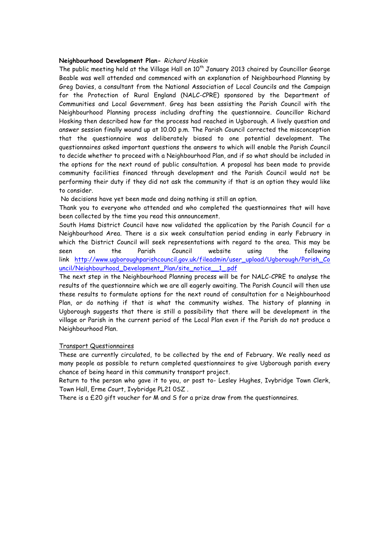#### **Neighbourhood Development Plan-** Richard Hoskin

The public meeting held at the Village Hall on  $10^{th}$  January 2013 chaired by Councillor George Beable was well attended and commenced with an explanation of Neighbourhood Planning by Greg Davies, a consultant from the National Association of Local Councils and the Campaign for the Protection of Rural England (NALC-CPRE) sponsored by the Department of Communities and Local Government. Greg has been assisting the Parish Council with the Neighbourhood Planning process including drafting the questionnaire. Councillor Richard Hosking then described how far the process had reached in Ugborough. A lively question and answer session finally wound up at 10.00 p.m. The Parish Council corrected the misconception that the questionnaire was deliberately biased to one potential development. The questionnaires asked important questions the answers to which will enable the Parish Council to decide whether to proceed with a Neighbourhood Plan, and if so what should be included in the options for the next round of public consultation. A proposal has been made to provide community facilities financed through development and the Parish Council would not be performing their duty if they did not ask the community if that is an option they would like to consider.

No decisions have yet been made and doing nothing is still an option.

Thank you to everyone who attended and who completed the questionnaires that will have been collected by the time you read this announcement.

South Hams District Council have now validated the application by the Parish Council for a Neighbourhood Area. There is a six week consultation period ending in early February in which the District Council will seek representations with regard to the area. This may be seen on the Parish Council website using the following link http://www.ugboroughparishcouncil.gov.uk/fileadmin/user\_upload/Ugborough/Parish\_Co uncil/Neighbourhood\_Development\_Plan/site\_notice\_\_1\_.pdf

The next step in the Neighbourhood Planning process will be for NALC-CPRE to analyse the results of the questionnaire which we are all eagerly awaiting. The Parish Council will then use these results to formulate options for the next round of consultation for a Neighbourhood Plan, or do nothing if that is what the community wishes. The history of planning in Ugborough suggests that there is still a possibility that there will be development in the village or Parish in the current period of the Local Plan even if the Parish do not produce a Neighbourhood Plan.

## Transport Questionnaires

These are currently circulated, to be collected by the end of February. We really need as many people as possible to return completed questionnaires to give Ugborough parish every chance of being heard in this community transport project.

Return to the person who gave it to you, or post to- Lesley Hughes, Ivybridge Town Clerk, Town Hall, Erme Court, Ivybridge PL21 0SZ .

There is a £20 gift voucher for M and S for a prize draw from the questionnaires.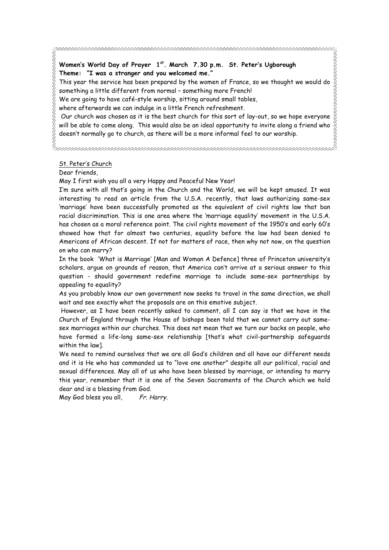This year the service has been prepared by the women of France, so we thought we would do something a little different from normal – something more French!

We are going to have café-style worship, sitting around small tables,

where afterwards we can indulge in a little French refreshment.

Our church was chosen as it is the best church for this sort of lay-out, so we hope everyone will be able to come along. This would also be an ideal opportunity to invite along a friend who doesn't normally go to church, as there will be a more informal feel to our worship.

## St. Peter's Church

Dear friends,

May I first wish you all a very Happy and Peaceful New Year!

I'm sure with all that's going in the Church and the World, we will be kept amused. It was interesting to read an article from the U.S.A. recently, that laws authorizing same-sex 'marriage' have been successfully promoted as the equivalent of civil rights law that ban racial discrimination. This is one area where the 'marriage equality' movement in the U.S.A. has chosen as a moral reference point. The civil rights movement of the 1950's and early 60's showed how that for almost two centuries, equality before the law had been denied to Americans of African descent. If not for matters of race, then why not now, on the question on who can marry?

In the book 'What is Marriage' [Man and Woman A Defence] three of Princeton university's scholars, argue on grounds of reason, that America can't arrive at a serious answer to this question - should government redefine marriage to include same-sex partnerships by appealing to equality?

As you probably know our own government now seeks to travel in the same direction, we shall wait and see exactly what the proposals are on this emotive subject.

However, as I have been recently asked to comment, all I can say is that we have in the Church of England through the House of bishops been told that we cannot carry out samesex marriages within our churches. This does not mean that we turn our backs on people, who have formed a life-long same-sex relationship [that's what civil-partnership safeguards within the law].

We need to remind ourselves that we are all God's children and all have our different needs and it is He who has commanded us to "love one another" despite all our political, racial and sexual differences. May all of us who have been blessed by marriage, or intending to marry this year, remember that it is one of the Seven Sacraments of the Church which we hold dear and is a blessing from God.

May God bless you all, Fr. Harry.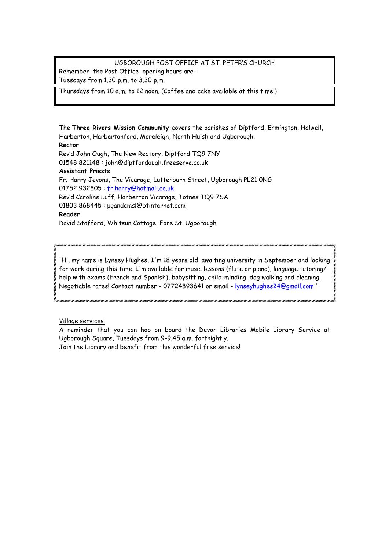# UGBOROUGH POST OFFICE AT ST. PETER'S CHURCH

Remember the Post Office opening hours are-: Tuesdays from 1.30 p.m. to 3.30 p.m.

Thursdays from 10 a.m. to 12 noon. (Coffee and cake available at this time!)

The **Three Rivers Mission Community** covers the parishes of Diptford, Ermington, Halwell, Harberton, Harbertonford, Moreleigh, North Huish and Ugborough. **Rector** Rev'd John Ough, The New Rectory, Diptford TQ9 7NY 01548 821148 : john@diptfordough.freeserve.co.uk **Assistant Priests** Fr. Harry Jevons, The Vicarage, Lutterburn Street, Ugborough PL21 0NG 01752 932805 : fr.harry@hotmail.co.uk Rev'd Caroline Luff, Harberton Vicarage, Totnes TQ9 7SA 01803 868445 : pgandcmsl@btinternet.com **Reader** David Stafford, Whitsun Cottage, Fore St. Ugborough

'Hi, my name is Lynsey Hughes, I'm 18 years old, awaiting university in September and looking for work during this time. I'm available for music lessons (flute or piano), language tutoring/ help with exams (French and Spanish), babysitting, child-minding, dog walking and cleaning. Negotiable rates! Contact number - 07724893641 or email - lynseyhughes24@gmail.com '

Village services.

A reminder that you can hop on board the Devon Libraries Mobile Library Service at Ugborough Square, Tuesdays from 9-9.45 a.m. fortnightly. Join the Library and benefit from this wonderful free service!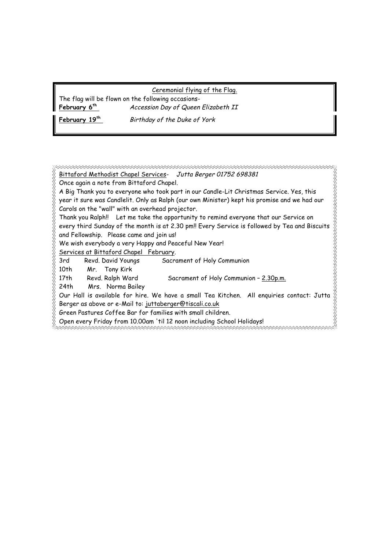#### Ceremonial flying of the Flag.

The flag will be flown on the following occasions-

February 19<sup>th</sup> Birthday of the Duke of York

**February 6th** Accession Day of Queen Elizabeth II

Bittaford Methodist Chapel Services- Jutta Berger 01752 698381 Once again a note from Bittaford Chapel. A Big Thank you to everyone who took part in our Candle-Lit Christmas Service. Yes, this year it sure was Candlelit. Only as Ralph (our own Minister) kept his promise and we had our Carols on the "wall" with an overhead projector. Thank you Ralph!! Let me take the opportunity to remind everyone that our Service on every third Sunday of the month is at 2.30 pm!! Every Service is followed by Tea and Biscuits and Fellowship. Please came and join us! We wish everybody a very Happy and Peaceful New Year! Services at Bittaford Chapel February. 3rd Revd. David Youngs Sacrament of Holy Communion 10th Mr. Tony Kirk 17th Revd. Ralph Ward Sacrament of Holy Communion – 2.30p.m. 24th Mrs. Norma Bailey Our Hall is available for hire. We have a small Tea Kitchen. All enquiries contact: Jutta Berger as above or e-Mail to: juttaberger@tiscali.co.uk Green Pastures Coffee Bar for families with small children. Open every Friday from 10.00am 'til 12 noon including School Holidays!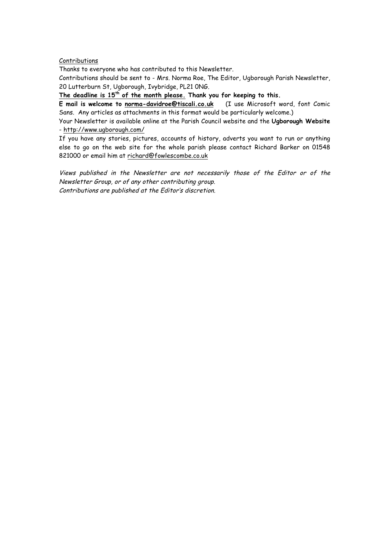#### Contributions

Thanks to everyone who has contributed to this Newsletter.

Contributions should be sent to - Mrs. Norma Roe, The Editor, Ugborough Parish Newsletter, 20 Lutterburn St, Ugborough, Ivybridge, PL21 0NG.

**The deadline is 15th of the month please. Thank you for keeping to this.** 

**E mail is welcome to norma-davidroe@tiscali.co.uk** (I use Microsoft word, font Comic Sans. Any articles as attachments in this format would be particularly welcome.)

Your Newsletter is available online at the Parish Council website and the **Ugborough Website** - http://www.ugborough.com/

If you have any stories, pictures, accounts of history, adverts you want to run or anything else to go on the web site for the whole parish please contact Richard Barker on 01548 821000 or email him at richard@fowlescombe.co.uk

Views published in the Newsletter are not necessarily those of the Editor or of the Newsletter Group, or of any other contributing group. Contributions are published at the Editor's discretion.